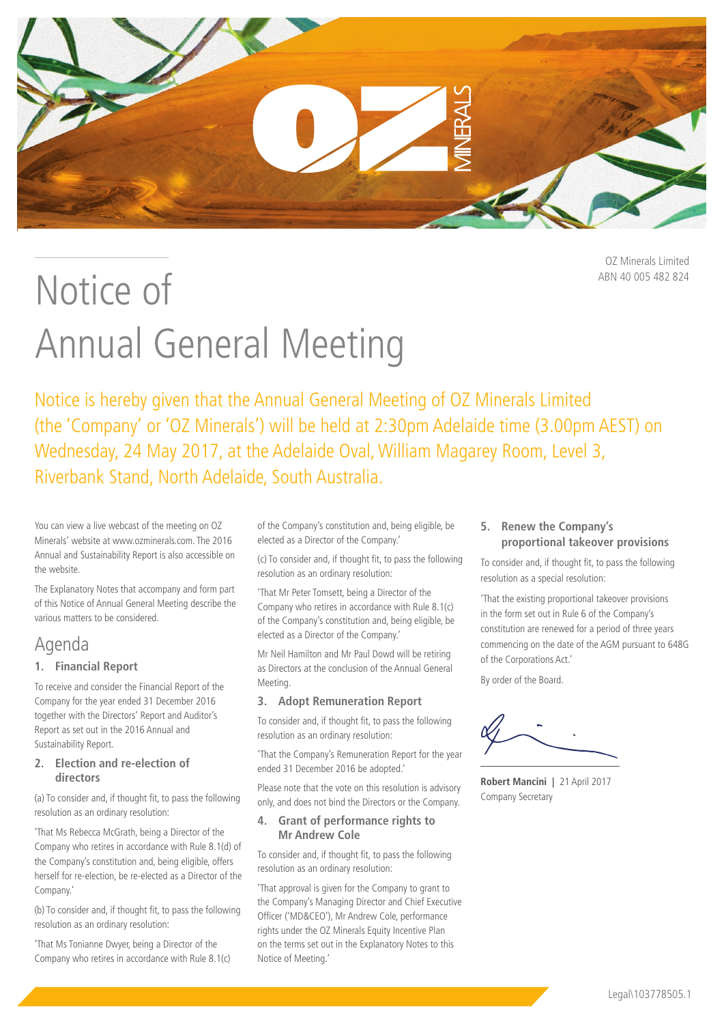

OZ Minerals Limited ABN 40 005 482 824

# Notice of Annual General Meeting

Notice is hereby given that the Annual General Meeting of OZ Minerals Limited (the 'Company' or 'OZ Minerals') will be held at 2:30pm Adelaide time (3.00pm AEST) on Wednesday, 24 May 2017, at the Adelaide Oval, William Magarey Room, Level 3, Riverbank Stand, North Adelaide, South Australia.

You can view a live webcast of the meeting on OZ Minerals' website at www.ozminerals.com. The 2016 Annual and Sustainability Report is also accessible on the website.

The Explanatory Notes that accompany and form part of this Notice of Annual General Meeting describe the various matters to be considered.

# Agenda

# **1. Financial Report**

To receive and consider the Financial Report of the Company for the year ended 31 December 2016 together with the Directors' Report and Auditor's Report as set out in the 2016 Annual and Sustainability Report.

# **2. Election and re-election of directors**

(a) To consider and, if thought fit, to pass the following resolution as an ordinary resolution:

'That Ms Rebecca McGrath, being a Director of the Company who retires in accordance with Rule 8.1(d) of the Company's constitution and, being eligible, offers herself for re-election, be re-elected as a Director of the Company.'

(b) To consider and, if thought fit, to pass the following resolution as an ordinary resolution:

'That Ms Tonianne Dwyer, being a Director of the Company who retires in accordance with Rule 8.1(c) of the Company's constitution and, being eligible, be elected as a Director of the Company.'

(c) To consider and, if thought fit, to pass the following resolution as an ordinary resolution:

'That Mr Peter Tomsett, being a Director of the Company who retires in accordance with Rule 8.1(c) of the Company's constitution and, being eligible, be elected as a Director of the Company.'

Mr Neil Hamilton and Mr Paul Dowd will be retiring as Directors at the conclusion of the Annual General Meeting.

# **3. Adopt Remuneration Report**

To consider and, if thought fit, to pass the following resolution as an ordinary resolution:

'That the Company's Remuneration Report for the year ended 31 December 2016 be adopted.'

Please note that the vote on this resolution is advisory only, and does not bind the Directors or the Company.

# **4. Grant of performance rights to Mr Andrew Cole**

To consider and, if thought fit, to pass the following resolution as an ordinary resolution:

'That approval is given for the Company to grant to the Company's Managing Director and Chief Executive Officer ('MD&CEO'), Mr Andrew Cole, performance rights under the OZ Minerals Equity Incentive Plan on the terms set out in the Explanatory Notes to this Notice of Meeting.'

# **5. Renew the Company's proportional takeover provisions**

To consider and, if thought fit, to pass the following resolution as a special resolution:

'That the existing proportional takeover provisions in the form set out in Rule 6 of the Company's constitution are renewed for a period of three years commencing on the date of the AGM pursuant to 648G of the Corporations Act.'

By order of the Board.

**Robert Mancini |** 21 April 2017 Company Secretary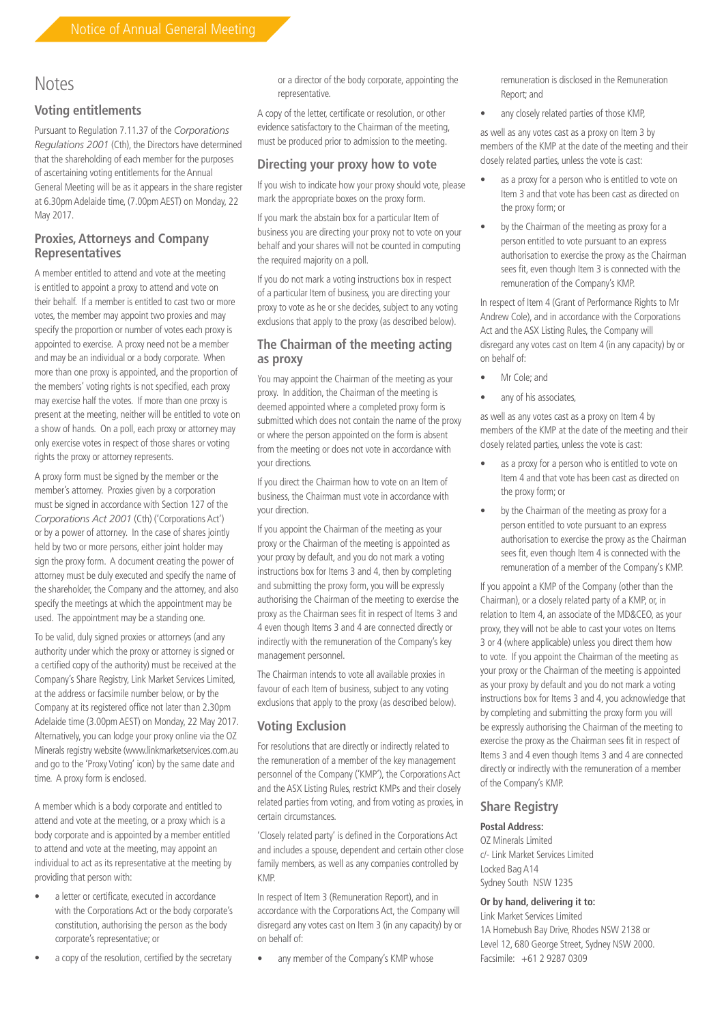# **Notes**

# **Voting entitlements**

Pursuant to Regulation 7.11.37 of the *Corporations Regulations 2001* (Cth), the Directors have determined that the shareholding of each member for the purposes of ascertaining voting entitlements for the Annual General Meeting will be as it appears in the share register at 6.30pm Adelaide time, (7.00pm AEST) on Monday, 22 May 2017.

# **Proxies, Attorneys and Company Representatives**

A member entitled to attend and vote at the meeting is entitled to appoint a proxy to attend and vote on their behalf. If a member is entitled to cast two or more votes, the member may appoint two proxies and may specify the proportion or number of votes each proxy is appointed to exercise. A proxy need not be a member and may be an individual or a body corporate. When more than one proxy is appointed, and the proportion of the members' voting rights is not specified, each proxy may exercise half the votes. If more than one proxy is present at the meeting, neither will be entitled to vote on a show of hands. On a poll, each proxy or attorney may only exercise votes in respect of those shares or voting rights the proxy or attorney represents.

A proxy form must be signed by the member or the member's attorney. Proxies given by a corporation must be signed in accordance with Section 127 of the *Corporations Act 2001* (Cth) ('Corporations Act') or by a power of attorney. In the case of shares jointly held by two or more persons, either joint holder may sign the proxy form. A document creating the power of attorney must be duly executed and specify the name of the shareholder, the Company and the attorney, and also specify the meetings at which the appointment may be used. The appointment may be a standing one.

To be valid, duly signed proxies or attorneys (and any authority under which the proxy or attorney is signed or a certified copy of the authority) must be received at the Company's Share Registry, Link Market Services Limited, at the address or facsimile number below, or by the Company at its registered office not later than 2.30pm Adelaide time (3.00pm AEST) on Monday, 22 May 2017. Alternatively, you can lodge your proxy online via the OZ Minerals registry website (www.linkmarketservices.com.au and go to the 'Proxy Voting' icon) by the same date and time. A proxy form is enclosed.

A member which is a body corporate and entitled to attend and vote at the meeting, or a proxy which is a body corporate and is appointed by a member entitled to attend and vote at the meeting, may appoint an individual to act as its representative at the meeting by providing that person with:

- a letter or certificate, executed in accordance with the Corporations Act or the body corporate's constitution, authorising the person as the body corporate's representative; or
- a copy of the resolution, certified by the secretary

or a director of the body corporate, appointing the representative.

A copy of the letter, certificate or resolution, or other evidence satisfactory to the Chairman of the meeting, must be produced prior to admission to the meeting.

# **Directing your proxy how to vote**

If you wish to indicate how your proxy should vote, please mark the appropriate boxes on the proxy form.

If you mark the abstain box for a particular Item of business you are directing your proxy not to vote on your behalf and your shares will not be counted in computing the required majority on a poll.

If you do not mark a voting instructions box in respect of a particular Item of business, you are directing your proxy to vote as he or she decides, subject to any voting exclusions that apply to the proxy (as described below).

# **The Chairman of the meeting acting as proxy**

You may appoint the Chairman of the meeting as your proxy. In addition, the Chairman of the meeting is deemed appointed where a completed proxy form is submitted which does not contain the name of the proxy or where the person appointed on the form is absent from the meeting or does not vote in accordance with your directions.

If you direct the Chairman how to vote on an Item of business, the Chairman must vote in accordance with your direction.

If you appoint the Chairman of the meeting as your proxy or the Chairman of the meeting is appointed as your proxy by default, and you do not mark a voting instructions box for Items 3 and 4, then by completing and submitting the proxy form, you will be expressly authorising the Chairman of the meeting to exercise the proxy as the Chairman sees fit in respect of Items 3 and 4 even though Items 3 and 4 are connected directly or indirectly with the remuneration of the Company's key management personnel.

The Chairman intends to vote all available proxies in favour of each Item of business, subject to any voting exclusions that apply to the proxy (as described below).

# **Voting Exclusion**

For resolutions that are directly or indirectly related to the remuneration of a member of the key management personnel of the Company ('KMP'), the Corporations Act and the ASX Listing Rules, restrict KMPs and their closely related parties from voting, and from voting as proxies, in certain circumstances.

'Closely related party' is defined in the Corporations Act and includes a spouse, dependent and certain other close family members, as well as any companies controlled by KMP.

In respect of Item 3 (Remuneration Report), and in accordance with the Corporations Act, the Company will disregard any votes cast on Item 3 (in any capacity) by or on behalf of:

any member of the Company's KMP whose

remuneration is disclosed in the Remuneration Report; and

• any closely related parties of those KMP,

as well as any votes cast as a proxy on Item 3 by members of the KMP at the date of the meeting and their closely related parties, unless the vote is cast:

- as a proxy for a person who is entitled to vote on Item 3 and that vote has been cast as directed on the proxy form; or
- by the Chairman of the meeting as proxy for a person entitled to vote pursuant to an express authorisation to exercise the proxy as the Chairman sees fit, even though Item 3 is connected with the remuneration of the Company's KMP.

In respect of Item 4 (Grant of Performance Rights to Mr Andrew Cole), and in accordance with the Corporations Act and the ASX Listing Rules, the Company will disregard any votes cast on Item 4 (in any capacity) by or on behalf of:

- Mr Cole; and
- any of his associates,

as well as any votes cast as a proxy on Item 4 by members of the KMP at the date of the meeting and their closely related parties, unless the vote is cast:

- as a proxy for a person who is entitled to vote on Item 4 and that vote has been cast as directed on the proxy form; or
- by the Chairman of the meeting as proxy for a person entitled to vote pursuant to an express authorisation to exercise the proxy as the Chairman sees fit, even though Item 4 is connected with the remuneration of a member of the Company's KMP.

If you appoint a KMP of the Company (other than the Chairman), or a closely related party of a KMP, or, in relation to Item 4, an associate of the MD&CEO, as your proxy, they will not be able to cast your votes on Items 3 or 4 (where applicable) unless you direct them how to vote. If you appoint the Chairman of the meeting as your proxy or the Chairman of the meeting is appointed as your proxy by default and you do not mark a voting instructions box for Items 3 and 4, you acknowledge that by completing and submitting the proxy form you will be expressly authorising the Chairman of the meeting to exercise the proxy as the Chairman sees fit in respect of Items 3 and 4 even though Items 3 and 4 are connected directly or indirectly with the remuneration of a member of the Company's KMP.

# **Share Registry**

#### **Postal Address:**

OZ Minerals Limited c/- Link Market Services Limited Locked Bag A14 Sydney South NSW 1235

#### **Or by hand, delivering it to:**

Link Market Services Limited 1A Homebush Bay Drive, Rhodes NSW 2138 or Level 12, 680 George Street, Sydney NSW 2000. Facsimile: +61 2 9287 0309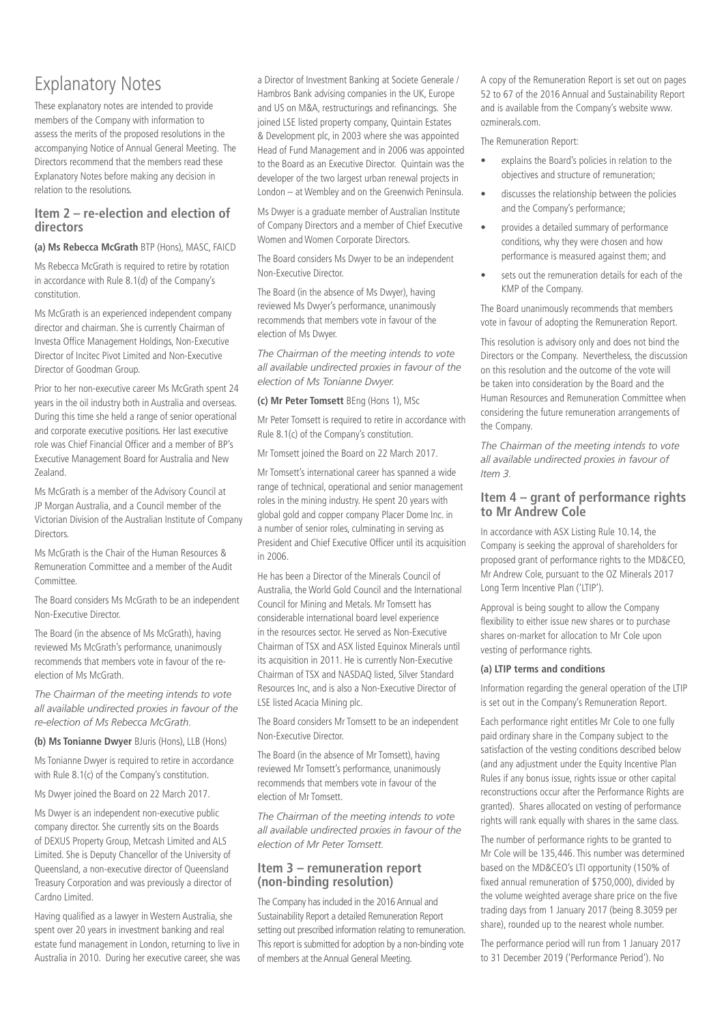# Explanatory Notes

These explanatory notes are intended to provide members of the Company with information to assess the merits of the proposed resolutions in the accompanying Notice of Annual General Meeting. The Directors recommend that the members read these Explanatory Notes before making any decision in relation to the resolutions.

# **Item 2 – re-election and election of directors**

# **(a) Ms Rebecca McGrath** BTP (Hons), MASC, FAICD

Ms Rebecca McGrath is required to retire by rotation in accordance with Rule 8.1(d) of the Company's constitution.

Ms McGrath is an experienced independent company director and chairman. She is currently Chairman of Investa Office Management Holdings, Non-Executive Director of Incitec Pivot Limited and Non-Executive Director of Goodman Group.

Prior to her non-executive career Ms McGrath spent 24 years in the oil industry both in Australia and overseas. During this time she held a range of senior operational and corporate executive positions. Her last executive role was Chief Financial Officer and a member of BP's Executive Management Board for Australia and New Zealand.

Ms McGrath is a member of the Advisory Council at JP Morgan Australia, and a Council member of the Victorian Division of the Australian Institute of Company **Directors** 

Ms McGrath is the Chair of the Human Resources & Remuneration Committee and a member of the Audit Committee.

The Board considers Ms McGrath to be an independent Non-Executive Director.

The Board (in the absence of Ms McGrath), having reviewed Ms McGrath's performance, unanimously recommends that members vote in favour of the reelection of Ms McGrath.

*The Chairman of the meeting intends to vote all available undirected proxies in favour of the re-election of Ms Rebecca McGrath.*

**(b) Ms Tonianne Dwyer** Bluris (Hons), LLB (Hons)

Ms Tonianne Dwyer is required to retire in accordance with Rule 8.1(c) of the Company's constitution.

Ms Dwyer joined the Board on 22 March 2017.

Ms Dwyer is an independent non-executive public company director. She currently sits on the Boards of DEXUS Property Group, Metcash Limited and ALS Limited. She is Deputy Chancellor of the University of Queensland, a non-executive director of Queensland Treasury Corporation and was previously a director of Cardno Limited.

Having qualified as a lawyer in Western Australia, she spent over 20 years in investment banking and real estate fund management in London, returning to live in Australia in 2010. During her executive career, she was a Director of Investment Banking at Societe Generale / Hambros Bank advising companies in the UK, Europe and US on M&A, restructurings and refinancings. She joined LSE listed property company, Quintain Estates & Development plc, in 2003 where she was appointed Head of Fund Management and in 2006 was appointed to the Board as an Executive Director. Quintain was the developer of the two largest urban renewal projects in London – at Wembley and on the Greenwich Peninsula.

Ms Dwyer is a graduate member of Australian Institute of Company Directors and a member of Chief Executive Women and Women Corporate Directors.

The Board considers Ms Dwyer to be an independent Non-Executive Director.

The Board (in the absence of Ms Dwyer), having reviewed Ms Dwyer's performance, unanimously recommends that members vote in favour of the election of Ms Dwyer.

*The Chairman of the meeting intends to vote all available undirected proxies in favour of the election of Ms Tonianne Dwyer.*

# **(c) Mr Peter Tomsett** BEng (Hons 1), MSc

Mr Peter Tomsett is required to retire in accordance with Rule 8.1(c) of the Company's constitution.

Mr Tomsett joined the Board on 22 March 2017.

Mr Tomsett's international career has spanned a wide range of technical, operational and senior management roles in the mining industry. He spent 20 years with global gold and copper company Placer Dome Inc. in a number of senior roles, culminating in serving as President and Chief Executive Officer until its acquisition in 2006.

He has been a Director of the Minerals Council of Australia, the World Gold Council and the International Council for Mining and Metals. Mr Tomsett has considerable international board level experience in the resources sector. He served as Non-Executive Chairman of TSX and ASX listed Equinox Minerals until its acquisition in 2011. He is currently Non-Executive Chairman of TSX and NASDAQ listed, Silver Standard Resources Inc, and is also a Non-Executive Director of LSE listed Acacia Mining plc.

The Board considers Mr Tomsett to be an independent Non-Executive Director.

The Board (in the absence of Mr Tomsett), having reviewed Mr Tomsett's performance, unanimously recommends that members vote in favour of the election of Mr Tomsett.

*The Chairman of the meeting intends to vote all available undirected proxies in favour of the election of Mr Peter Tomsett.*

# **Item 3 – remuneration report (non-binding resolution)**

The Company has included in the 2016 Annual and Sustainability Report a detailed Remuneration Report setting out prescribed information relating to remuneration. This report is submitted for adoption by a non-binding vote of members at the Annual General Meeting.

A copy of the Remuneration Report is set out on pages 52 to 67 of the 2016 Annual and Sustainability Report and is available from the Company's website www. ozminerals.com.

The Remuneration Report:

- explains the Board's policies in relation to the objectives and structure of remuneration;
- discusses the relationship between the policies and the Company's performance;
- provides a detailed summary of performance conditions, why they were chosen and how performance is measured against them; and
- sets out the remuneration details for each of the KMP of the Company.

The Board unanimously recommends that members vote in favour of adopting the Remuneration Report.

This resolution is advisory only and does not bind the Directors or the Company. Nevertheless, the discussion on this resolution and the outcome of the vote will be taken into consideration by the Board and the Human Resources and Remuneration Committee when considering the future remuneration arrangements of the Company.

*The Chairman of the meeting intends to vote all available undirected proxies in favour of Item 3.* 

# **Item 4 – grant of performance rights to Mr Andrew Cole**

In accordance with ASX Listing Rule 10.14, the Company is seeking the approval of shareholders for proposed grant of performance rights to the MD&CEO, Mr Andrew Cole, pursuant to the OZ Minerals 2017 Long Term Incentive Plan ('LTIP').

Approval is being sought to allow the Company flexibility to either issue new shares or to purchase shares on-market for allocation to Mr Cole upon vesting of performance rights.

# **(a) LTIP terms and conditions**

Information regarding the general operation of the LTIP is set out in the Company's Remuneration Report.

Each performance right entitles Mr Cole to one fully paid ordinary share in the Company subject to the satisfaction of the vesting conditions described below (and any adjustment under the Equity Incentive Plan Rules if any bonus issue, rights issue or other capital reconstructions occur after the Performance Rights are granted). Shares allocated on vesting of performance rights will rank equally with shares in the same class.

The number of performance rights to be granted to Mr Cole will be 135,446. This number was determined based on the MD&CEO's LTI opportunity (150% of fixed annual remuneration of \$750,000), divided by the volume weighted average share price on the five trading days from 1 January 2017 (being 8.3059 per share), rounded up to the nearest whole number.

The performance period will run from 1 January 2017 to 31 December 2019 ('Performance Period'). No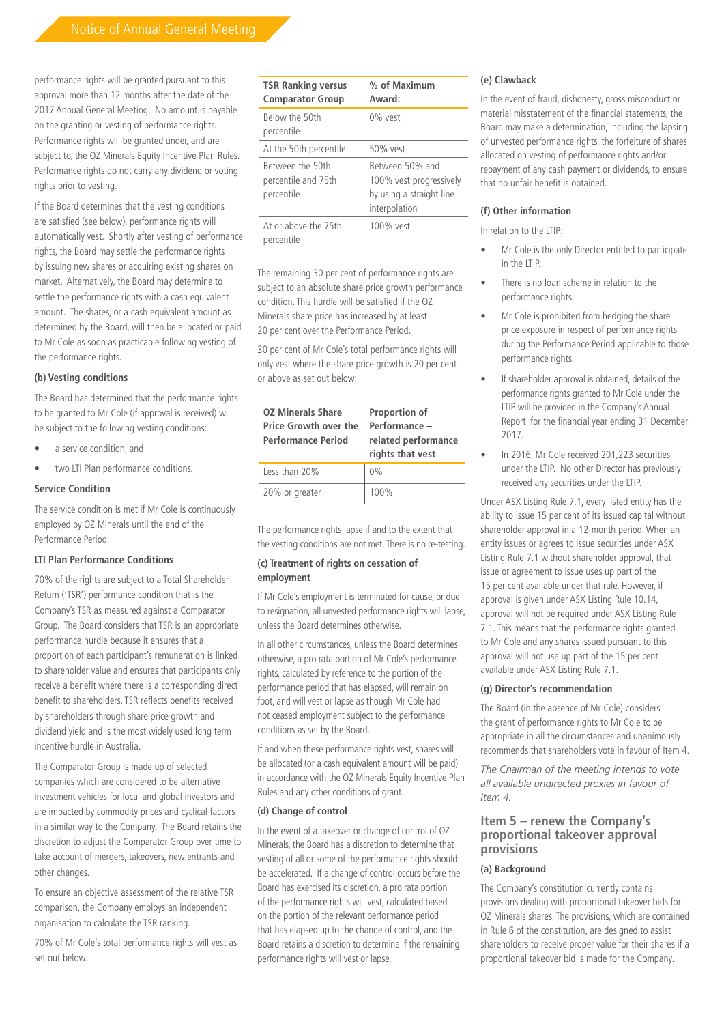performance rights will be granted pursuant to this approval more than 12 months after the date of the 2017 Annual General Meeting. No amount is payable on the granting or vesting of performance rights. Performance rights will be granted under, and are subject to, the OZ Minerals Equity Incentive Plan Rules. Performance rights do not carry any dividend or voting rights prior to vesting.

If the Board determines that the vesting conditions are satisfied (see below), performance rights will automatically vest. Shortly after vesting of performance rights, the Board may settle the performance rights by issuing new shares or acquiring existing shares on market. Alternatively, the Board may determine to settle the performance rights with a cash equivalent amount. The shares, or a cash equivalent amount as determined by the Board, will then be allocated or paid to Mr Cole as soon as practicable following vesting of the performance rights.

#### **(b) Vesting conditions**

The Board has determined that the performance rights to be granted to Mr Cole (if approval is received) will be subject to the following vesting conditions:

- a service condition; and
- two LTI Plan performance conditions.

#### **Service Condition**

The service condition is met if Mr Cole is continuously employed by OZ Minerals until the end of the Performance Period.

#### **LTI Plan Performance Conditions**

70% of the rights are subject to a Total Shareholder Return ('TSR') performance condition that is the Company's TSR as measured against a Comparator Group. The Board considers that TSR is an appropriate performance hurdle because it ensures that a proportion of each participant's remuneration is linked to shareholder value and ensures that participants only receive a benefit where there is a corresponding direct benefit to shareholders. TSR reflects benefits received by shareholders through share price growth and dividend yield and is the most widely used long term incentive hurdle in Australia.

The Comparator Group is made up of selected companies which are considered to be alternative investment vehicles for local and global investors and are impacted by commodity prices and cyclical factors in a similar way to the Company. The Board retains the discretion to adjust the Comparator Group over time to take account of mergers, takeovers, new entrants and other changes.

To ensure an objective assessment of the relative TSR comparison, the Company employs an independent organisation to calculate the TSR ranking.

70% of Mr Cole's total performance rights will vest as set out below.

| <b>TSR Ranking versus</b><br><b>Comparator Group</b>  | % of Maximum<br>Award:                                                                  |
|-------------------------------------------------------|-----------------------------------------------------------------------------------------|
| Below the 50th<br>percentile                          | $0\%$ vest                                                                              |
| At the 50th percentile                                | 50% vest                                                                                |
| Between the 50th<br>percentile and 75th<br>percentile | Retween 50% and<br>100% vest progressively<br>by using a straight line<br>interpolation |
| At or above the 75th<br>percentile                    | $100\%$ vest                                                                            |

The remaining 30 per cent of performance rights are subject to an absolute share price growth performance condition. This hurdle will be satisfied if the OZ Minerals share price has increased by at least 20 per cent over the Performance Period.

30 per cent of Mr Cole's total performance rights will only vest where the share price growth is 20 per cent or above as set out below:

| <b>OZ Minerals Share</b><br><b>Price Growth over the</b><br><b>Performance Period</b> | <b>Proportion of</b><br>Performance -<br>related performance<br>rights that vest |
|---------------------------------------------------------------------------------------|----------------------------------------------------------------------------------|
| Less than 20%                                                                         | $0\%$                                                                            |
| 20% or greater                                                                        | 100%                                                                             |

The performance rights lapse if and to the extent that the vesting conditions are not met. There is no re-testing.

#### **(c) Treatment of rights on cessation of employment**

If Mr Cole's employment is terminated for cause, or due to resignation, all unvested performance rights will lapse, unless the Board determines otherwise.

In all other circumstances, unless the Board determines otherwise, a pro rata portion of Mr Cole's performance rights, calculated by reference to the portion of the performance period that has elapsed, will remain on foot, and will vest or lapse as though Mr Cole had not ceased employment subject to the performance conditions as set by the Board.

If and when these performance rights vest, shares will be allocated (or a cash equivalent amount will be paid) in accordance with the OZ Minerals Equity Incentive Plan Rules and any other conditions of grant.

#### **(d) Change of control**

In the event of a takeover or change of control of OZ Minerals, the Board has a discretion to determine that vesting of all or some of the performance rights should be accelerated. If a change of control occurs before the Board has exercised its discretion, a pro rata portion of the performance rights will vest, calculated based on the portion of the relevant performance period that has elapsed up to the change of control, and the Board retains a discretion to determine if the remaining performance rights will vest or lapse.

# **(e) Clawback**

In the event of fraud, dishonesty, gross misconduct or material misstatement of the financial statements, the Board may make a determination, including the lapsing of unvested performance rights, the forfeiture of shares allocated on vesting of performance rights and/or repayment of any cash payment or dividends, to ensure that no unfair benefit is obtained.

#### **(f) Other information**

In relation to the LTIP:

- Mr Cole is the only Director entitled to participate in the LTIP.
- There is no loan scheme in relation to the performance rights.
- Mr Cole is prohibited from hedging the share price exposure in respect of performance rights during the Performance Period applicable to those performance rights.
- If shareholder approval is obtained, details of the performance rights granted to Mr Cole under the LTIP will be provided in the Company's Annual Report for the financial year ending 31 December 2017.
- In 2016, Mr Cole received 201,223 securities under the LTIP. No other Director has previously received any securities under the LTIP.

Under ASX Listing Rule 7.1, every listed entity has the ability to issue 15 per cent of its issued capital without shareholder approval in a 12-month period. When an entity issues or agrees to issue securities under ASX Listing Rule 7.1 without shareholder approval, that issue or agreement to issue uses up part of the 15 per cent available under that rule. However, if approval is given under ASX Listing Rule 10.14, approval will not be required under ASX Listing Rule 7.1. This means that the performance rights granted to Mr Cole and any shares issued pursuant to this approval will not use up part of the 15 per cent available under ASX Listing Rule 7.1.

#### **(g) Director's recommendation**

The Board (in the absence of Mr Cole) considers the grant of performance rights to Mr Cole to be appropriate in all the circumstances and unanimously recommends that shareholders vote in favour of Item 4.

*The Chairman of the meeting intends to vote all available undirected proxies in favour of Item 4.*

# **Item 5 – renew the Company's proportional takeover approval provisions**

# **(a) Background**

The Company's constitution currently contains provisions dealing with proportional takeover bids for OZ Minerals shares. The provisions, which are contained in Rule 6 of the constitution, are designed to assist shareholders to receive proper value for their shares if a proportional takeover bid is made for the Company.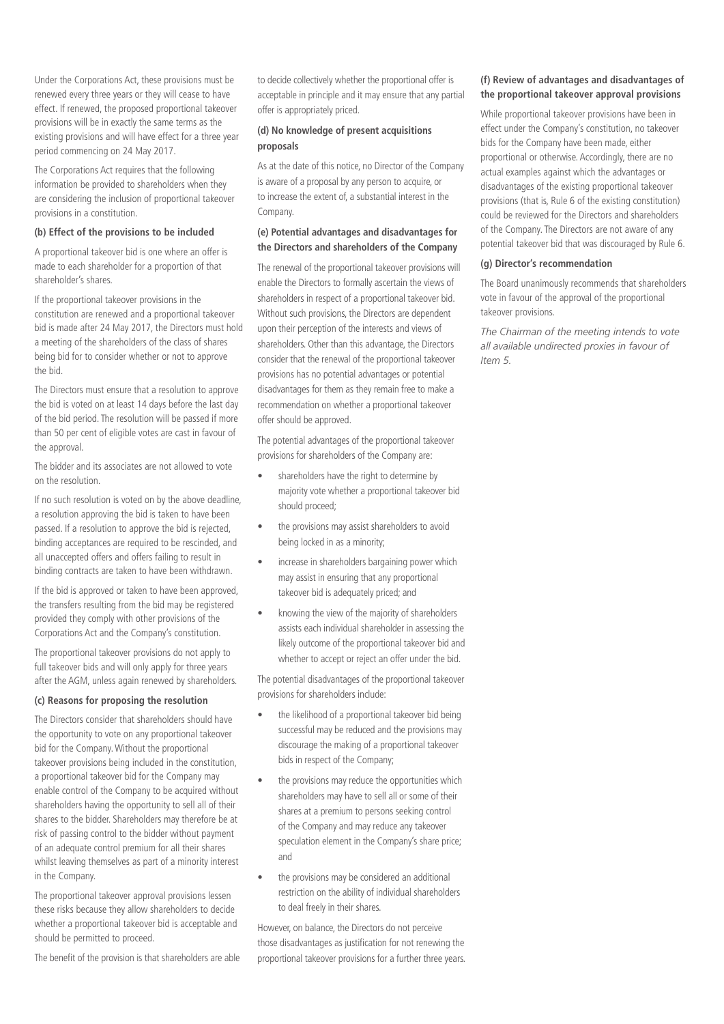Under the Corporations Act, these provisions must be renewed every three years or they will cease to have effect. If renewed, the proposed proportional takeover provisions will be in exactly the same terms as the existing provisions and will have effect for a three year period commencing on 24 May 2017.

The Corporations Act requires that the following information be provided to shareholders when they are considering the inclusion of proportional takeover provisions in a constitution.

#### **(b) Effect of the provisions to be included**

A proportional takeover bid is one where an offer is made to each shareholder for a proportion of that shareholder's shares.

If the proportional takeover provisions in the constitution are renewed and a proportional takeover bid is made after 24 May 2017, the Directors must hold a meeting of the shareholders of the class of shares being bid for to consider whether or not to approve the bid.

The Directors must ensure that a resolution to approve the bid is voted on at least 14 days before the last day of the bid period. The resolution will be passed if more than 50 per cent of eligible votes are cast in favour of the approval.

The bidder and its associates are not allowed to vote on the resolution.

If no such resolution is voted on by the above deadline, a resolution approving the bid is taken to have been passed. If a resolution to approve the bid is rejected, binding acceptances are required to be rescinded, and all unaccepted offers and offers failing to result in binding contracts are taken to have been withdrawn.

If the bid is approved or taken to have been approved, the transfers resulting from the bid may be registered provided they comply with other provisions of the Corporations Act and the Company's constitution.

The proportional takeover provisions do not apply to full takeover bids and will only apply for three years after the AGM, unless again renewed by shareholders.

# **(c) Reasons for proposing the resolution**

The Directors consider that shareholders should have the opportunity to vote on any proportional takeover bid for the Company. Without the proportional takeover provisions being included in the constitution, a proportional takeover bid for the Company may enable control of the Company to be acquired without shareholders having the opportunity to sell all of their shares to the bidder. Shareholders may therefore be at risk of passing control to the bidder without payment of an adequate control premium for all their shares whilst leaving themselves as part of a minority interest in the Company.

The proportional takeover approval provisions lessen these risks because they allow shareholders to decide whether a proportional takeover bid is acceptable and should be permitted to proceed.

The benefit of the provision is that shareholders are able

to decide collectively whether the proportional offer is acceptable in principle and it may ensure that any partial offer is appropriately priced.

# **(d) No knowledge of present acquisitions proposals**

As at the date of this notice, no Director of the Company is aware of a proposal by any person to acquire, or to increase the extent of, a substantial interest in the Company.

#### **(e) Potential advantages and disadvantages for the Directors and shareholders of the Company**

The renewal of the proportional takeover provisions will enable the Directors to formally ascertain the views of shareholders in respect of a proportional takeover bid. Without such provisions, the Directors are dependent upon their perception of the interests and views of shareholders. Other than this advantage, the Directors consider that the renewal of the proportional takeover provisions has no potential advantages or potential disadvantages for them as they remain free to make a recommendation on whether a proportional takeover offer should be approved.

The potential advantages of the proportional takeover provisions for shareholders of the Company are:

- shareholders have the right to determine by majority vote whether a proportional takeover bid should proceed;
- the provisions may assist shareholders to avoid being locked in as a minority;
- increase in shareholders bargaining power which may assist in ensuring that any proportional takeover bid is adequately priced; and
- knowing the view of the majority of shareholders assists each individual shareholder in assessing the likely outcome of the proportional takeover bid and whether to accept or reject an offer under the bid.

The potential disadvantages of the proportional takeover provisions for shareholders include:

- the likelihood of a proportional takeover bid being successful may be reduced and the provisions may discourage the making of a proportional takeover bids in respect of the Company;
- the provisions may reduce the opportunities which shareholders may have to sell all or some of their shares at a premium to persons seeking control of the Company and may reduce any takeover speculation element in the Company's share price; and
- the provisions may be considered an additional restriction on the ability of individual shareholders to deal freely in their shares.

However, on balance, the Directors do not perceive those disadvantages as justification for not renewing the proportional takeover provisions for a further three years.

#### **(f) Review of advantages and disadvantages of the proportional takeover approval provisions**

While proportional takeover provisions have been in effect under the Company's constitution, no takeover bids for the Company have been made, either proportional or otherwise. Accordingly, there are no actual examples against which the advantages or disadvantages of the existing proportional takeover provisions (that is, Rule 6 of the existing constitution) could be reviewed for the Directors and shareholders of the Company. The Directors are not aware of any potential takeover bid that was discouraged by Rule 6.

#### **(g) Director's recommendation**

The Board unanimously recommends that shareholders vote in favour of the approval of the proportional takeover provisions.

*The Chairman of the meeting intends to vote all available undirected proxies in favour of Item 5.*